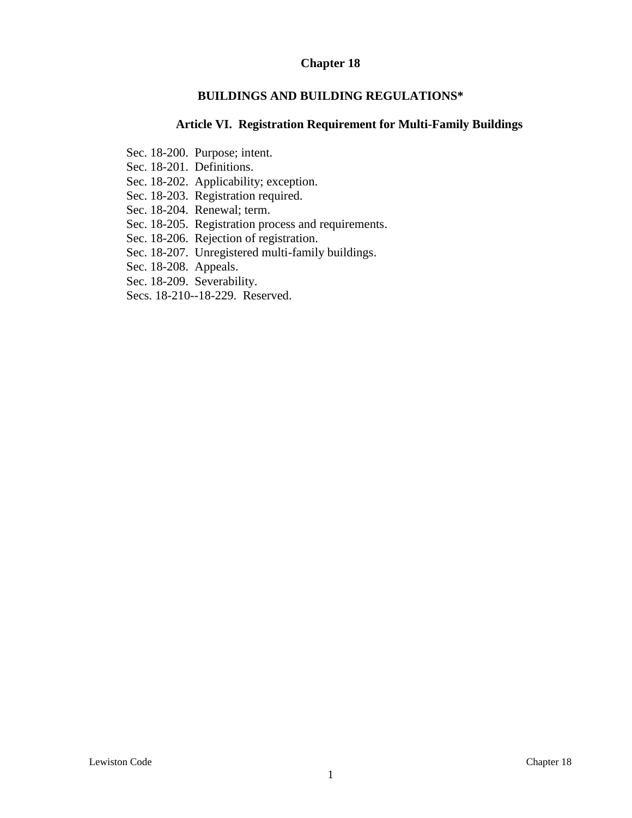#### **Chapter 18**

#### **BUILDINGS AND BUILDING REGULATIONS\***

### **Article VI. Registration Requirement for Multi-Family Buildings**

- Sec. 18-200. Purpose; intent.
- Sec. 18-201. Definitions.
- Sec. 18-202. Applicability; exception.
- Sec. 18-203. Registration required.
- Sec. 18-204. Renewal; term.
- Sec. 18-205. Registration process and requirements.
- Sec. 18-206. Rejection of registration.
- Sec. 18-207. Unregistered multi-family buildings.
- Sec. 18-208. Appeals.
- Sec. 18-209. Severability.
- Secs. 18-210--18-229. Reserved.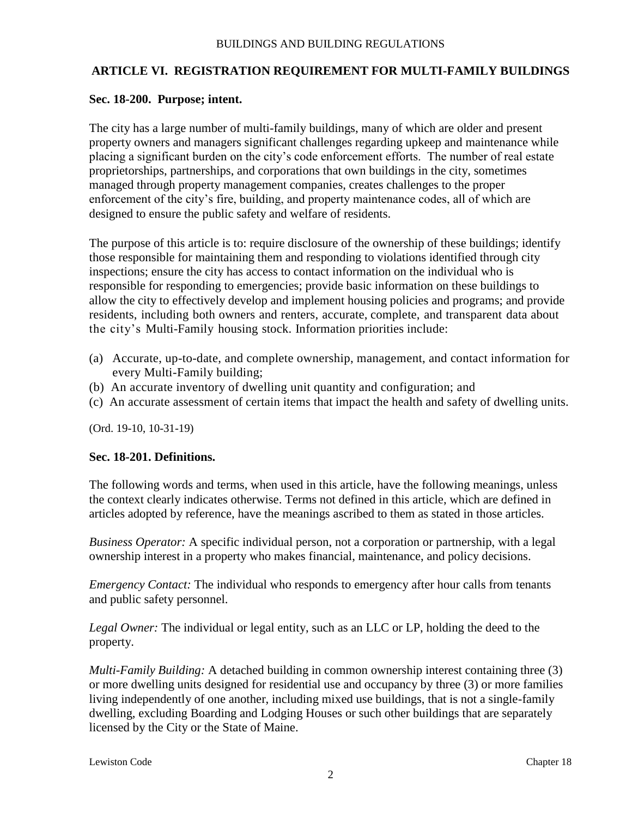# **ARTICLE VI. REGISTRATION REQUIREMENT FOR MULTI-FAMILY BUILDINGS**

## **Sec. 18-200. Purpose; intent.**

The city has a large number of multi-family buildings, many of which are older and present property owners and managers significant challenges regarding upkeep and maintenance while placing a significant burden on the city's code enforcement efforts. The number of real estate proprietorships, partnerships, and corporations that own buildings in the city, sometimes managed through property management companies, creates challenges to the proper enforcement of the city's fire, building, and property maintenance codes, all of which are designed to ensure the public safety and welfare of residents.

The purpose of this article is to: require disclosure of the ownership of these buildings; identify those responsible for maintaining them and responding to violations identified through city inspections; ensure the city has access to contact information on the individual who is responsible for responding to emergencies; provide basic information on these buildings to allow the city to effectively develop and implement housing policies and programs; and provide residents, including both owners and renters, accurate, complete, and transparent data about the city's Multi-Family housing stock. Information priorities include:

- (a) Accurate, up-to-date, and complete ownership, management, and contact information for every Multi-Family building;
- (b) An accurate inventory of dwelling unit quantity and configuration; and
- (c) An accurate assessment of certain items that impact the health and safety of dwelling units.

(Ord. 19-10, 10-31-19)

#### **Sec. 18-201. Definitions.**

The following words and terms, when used in this article, have the following meanings, unless the context clearly indicates otherwise. Terms not defined in this article, which are defined in articles adopted by reference, have the meanings ascribed to them as stated in those articles.

*Business Operator:* A specific individual person, not a corporation or partnership, with a legal ownership interest in a property who makes financial, maintenance, and policy decisions.

*Emergency Contact:* The individual who responds to emergency after hour calls from tenants and public safety personnel.

*Legal Owner:* The individual or legal entity, such as an LLC or LP, holding the deed to the property.

*Multi-Family Building:* A detached building in common ownership interest containing three (3) or more dwelling units designed for residential use and occupancy by three (3) or more families living independently of one another, including mixed use buildings, that is not a single-family dwelling, excluding Boarding and Lodging Houses or such other buildings that are separately licensed by the City or the State of Maine.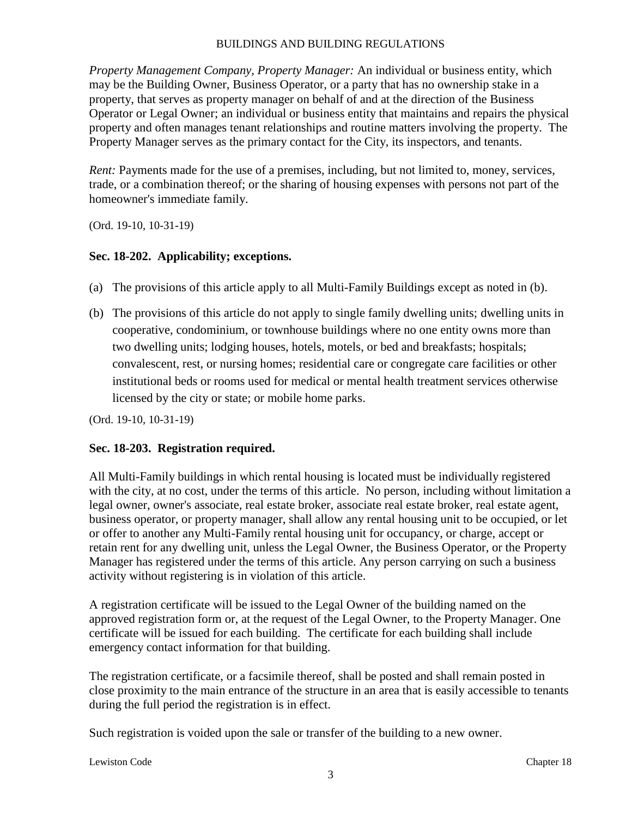#### BUILDINGS AND BUILDING REGULATIONS

*Property Management Company, Property Manager:* An individual or business entity, which may be the Building Owner, Business Operator, or a party that has no ownership stake in a property, that serves as property manager on behalf of and at the direction of the Business Operator or Legal Owner; an individual or business entity that maintains and repairs the physical property and often manages tenant relationships and routine matters involving the property. The Property Manager serves as the primary contact for the City, its inspectors, and tenants.

*Rent:* Payments made for the use of a premises, including, but not limited to, money, services, trade, or a combination thereof; or the sharing of housing expenses with persons not part of the homeowner's immediate family.

(Ord. 19-10, 10-31-19)

#### **Sec. 18-202. Applicability; exceptions.**

- (a) The provisions of this article apply to all Multi-Family Buildings except as noted in (b).
- (b) The provisions of this article do not apply to single family dwelling units; dwelling units in cooperative, condominium, or townhouse buildings where no one entity owns more than two dwelling units; lodging houses, hotels, motels, or bed and breakfasts; hospitals; convalescent, rest, or nursing homes; residential care or congregate care facilities or other institutional beds or rooms used for medical or mental health treatment services otherwise licensed by the city or state; or mobile home parks.

(Ord. 19-10, 10-31-19)

#### **Sec. 18-203. Registration required.**

All Multi-Family buildings in which rental housing is located must be individually registered with the city, at no cost, under the terms of this article. No person, including without limitation a legal owner, owner's associate, real estate broker, associate real estate broker, real estate agent, business operator, or property manager, shall allow any rental housing unit to be occupied, or let or offer to another any Multi-Family rental housing unit for occupancy, or charge, accept or retain rent for any dwelling unit, unless the Legal Owner, the Business Operator, or the Property Manager has registered under the terms of this article. Any person carrying on such a business activity without registering is in violation of this article.

A registration certificate will be issued to the Legal Owner of the building named on the approved registration form or, at the request of the Legal Owner, to the Property Manager. One certificate will be issued for each building. The certificate for each building shall include emergency contact information for that building.

The registration certificate, or a facsimile thereof, shall be posted and shall remain posted in close proximity to the main entrance of the structure in an area that is easily accessible to tenants during the full period the registration is in effect.

Such registration is voided upon the sale or transfer of the building to a new owner.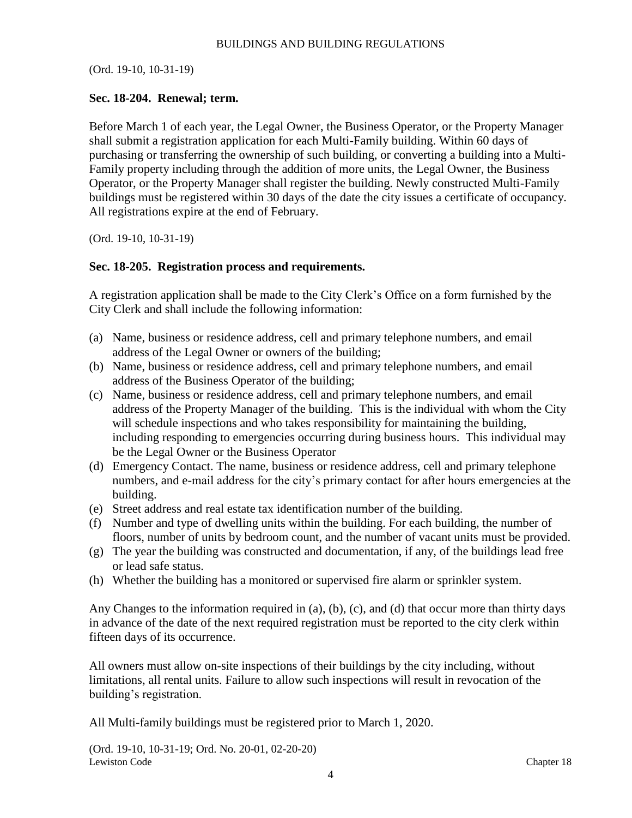(Ord. 19-10, 10-31-19)

#### **Sec. 18-204. Renewal; term.**

Before March 1 of each year, the Legal Owner, the Business Operator, or the Property Manager shall submit a registration application for each Multi-Family building. Within 60 days of purchasing or transferring the ownership of such building, or converting a building into a Multi-Family property including through the addition of more units, the Legal Owner, the Business Operator, or the Property Manager shall register the building. Newly constructed Multi-Family buildings must be registered within 30 days of the date the city issues a certificate of occupancy. All registrations expire at the end of February.

(Ord. 19-10, 10-31-19)

#### **Sec. 18-205. Registration process and requirements.**

A registration application shall be made to the City Clerk's Office on a form furnished by the City Clerk and shall include the following information:

- (a) Name, business or residence address, cell and primary telephone numbers, and email address of the Legal Owner or owners of the building;
- (b) Name, business or residence address, cell and primary telephone numbers, and email address of the Business Operator of the building;
- (c) Name, business or residence address, cell and primary telephone numbers, and email address of the Property Manager of the building. This is the individual with whom the City will schedule inspections and who takes responsibility for maintaining the building, including responding to emergencies occurring during business hours. This individual may be the Legal Owner or the Business Operator
- (d) Emergency Contact. The name, business or residence address, cell and primary telephone numbers, and e-mail address for the city's primary contact for after hours emergencies at the building.
- (e) Street address and real estate tax identification number of the building.
- (f) Number and type of dwelling units within the building. For each building, the number of floors, number of units by bedroom count, and the number of vacant units must be provided.
- (g) The year the building was constructed and documentation, if any, of the buildings lead free or lead safe status.
- (h) Whether the building has a monitored or supervised fire alarm or sprinkler system.

Any Changes to the information required in (a), (b), (c), and (d) that occur more than thirty days in advance of the date of the next required registration must be reported to the city clerk within fifteen days of its occurrence.

All owners must allow on-site inspections of their buildings by the city including, without limitations, all rental units. Failure to allow such inspections will result in revocation of the building's registration.

All Multi-family buildings must be registered prior to March 1, 2020.

Lewiston Code Chapter 18 Chapter 18 Chapter 18 Chapter 18 Chapter 18 Chapter 18 Chapter 18 Chapter 18 Chapter 18 (Ord. 19-10, 10-31-19; Ord. No. 20-01, 02-20-20)